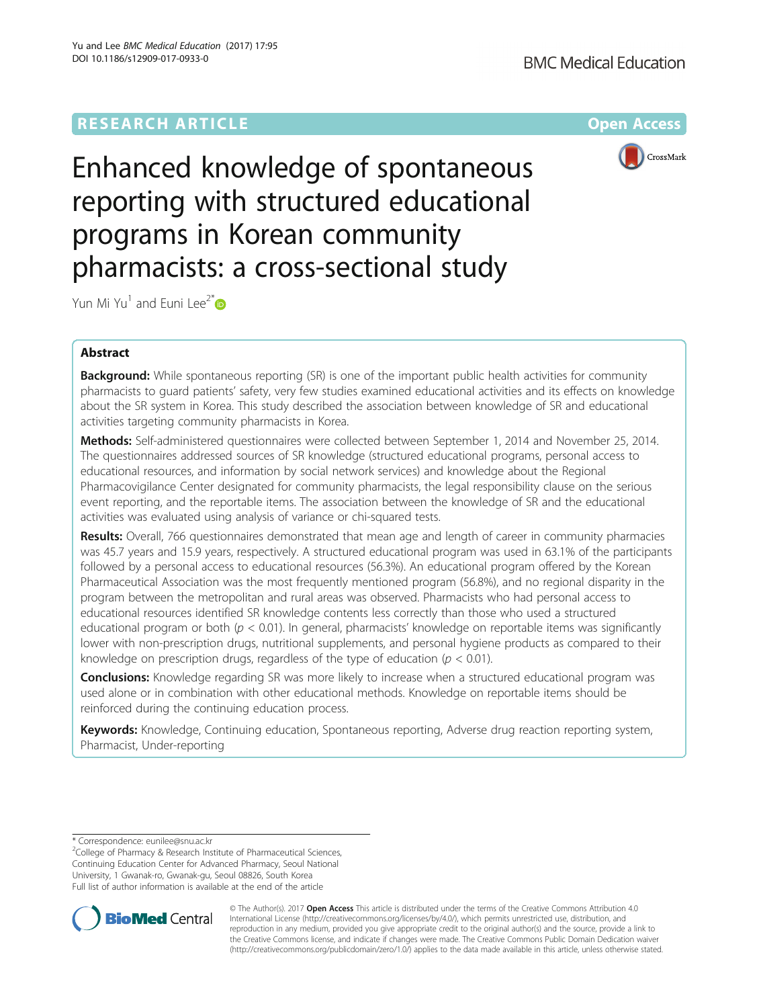# **RESEARCH ARTICLE Example 2014 12:30 The Contract of Contract Article 2014**



Enhanced knowledge of spontaneous reporting with structured educational programs in Korean community pharmacists: a cross-sectional study

Yun Mi Yu<sup>1</sup> and Euni Lee<sup>2\*</sup> $\bullet$ 

## Abstract

**Background:** While spontaneous reporting (SR) is one of the important public health activities for community pharmacists to guard patients' safety, very few studies examined educational activities and its effects on knowledge about the SR system in Korea. This study described the association between knowledge of SR and educational activities targeting community pharmacists in Korea.

Methods: Self-administered questionnaires were collected between September 1, 2014 and November 25, 2014. The questionnaires addressed sources of SR knowledge (structured educational programs, personal access to educational resources, and information by social network services) and knowledge about the Regional Pharmacovigilance Center designated for community pharmacists, the legal responsibility clause on the serious event reporting, and the reportable items. The association between the knowledge of SR and the educational activities was evaluated using analysis of variance or chi-squared tests.

Results: Overall, 766 questionnaires demonstrated that mean age and length of career in community pharmacies was 45.7 years and 15.9 years, respectively. A structured educational program was used in 63.1% of the participants followed by a personal access to educational resources (56.3%). An educational program offered by the Korean Pharmaceutical Association was the most frequently mentioned program (56.8%), and no regional disparity in the program between the metropolitan and rural areas was observed. Pharmacists who had personal access to educational resources identified SR knowledge contents less correctly than those who used a structured educational program or both ( $p < 0.01$ ). In general, pharmacists' knowledge on reportable items was significantly lower with non-prescription drugs, nutritional supplements, and personal hygiene products as compared to their knowledge on prescription drugs, regardless of the type of education ( $p < 0.01$ ).

**Conclusions:** Knowledge regarding SR was more likely to increase when a structured educational program was used alone or in combination with other educational methods. Knowledge on reportable items should be reinforced during the continuing education process.

Keywords: Knowledge, Continuing education, Spontaneous reporting, Adverse drug reaction reporting system, Pharmacist, Under-reporting

\* Correspondence: [eunilee@snu.ac.kr](mailto:eunilee@snu.ac.kr) <sup>2</sup>

 $2$ College of Pharmacy & Research Institute of Pharmaceutical Sciences, Continuing Education Center for Advanced Pharmacy, Seoul National University, 1 Gwanak-ro, Gwanak-gu, Seoul 08826, South Korea Full list of author information is available at the end of the article



© The Author(s). 2017 **Open Access** This article is distributed under the terms of the Creative Commons Attribution 4.0 International License [\(http://creativecommons.org/licenses/by/4.0/](http://creativecommons.org/licenses/by/4.0/)), which permits unrestricted use, distribution, and reproduction in any medium, provided you give appropriate credit to the original author(s) and the source, provide a link to the Creative Commons license, and indicate if changes were made. The Creative Commons Public Domain Dedication waiver [\(http://creativecommons.org/publicdomain/zero/1.0/](http://creativecommons.org/publicdomain/zero/1.0/)) applies to the data made available in this article, unless otherwise stated.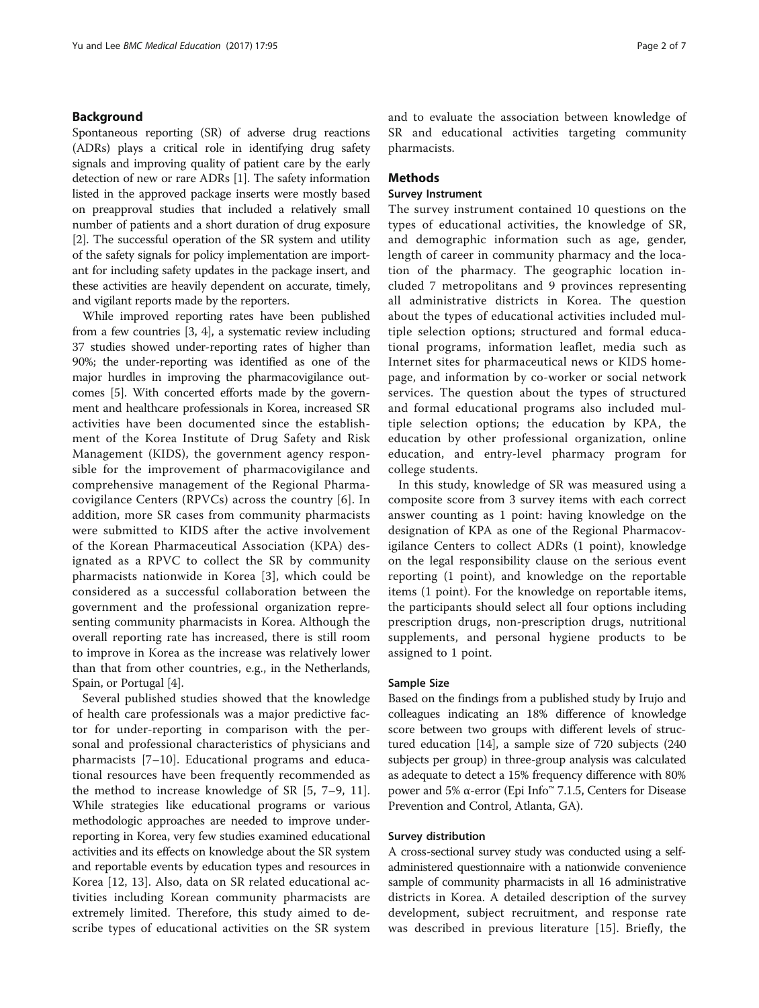## Background

Spontaneous reporting (SR) of adverse drug reactions (ADRs) plays a critical role in identifying drug safety signals and improving quality of patient care by the early detection of new or rare ADRs [\[1](#page-5-0)]. The safety information listed in the approved package inserts were mostly based on preapproval studies that included a relatively small number of patients and a short duration of drug exposure [[2\]](#page-5-0). The successful operation of the SR system and utility of the safety signals for policy implementation are important for including safety updates in the package insert, and these activities are heavily dependent on accurate, timely, and vigilant reports made by the reporters.

While improved reporting rates have been published from a few countries [[3,](#page-5-0) [4\]](#page-6-0), a systematic review including 37 studies showed under-reporting rates of higher than 90%; the under-reporting was identified as one of the major hurdles in improving the pharmacovigilance outcomes [[5](#page-6-0)]. With concerted efforts made by the government and healthcare professionals in Korea, increased SR activities have been documented since the establishment of the Korea Institute of Drug Safety and Risk Management (KIDS), the government agency responsible for the improvement of pharmacovigilance and comprehensive management of the Regional Pharmacovigilance Centers (RPVCs) across the country [[6\]](#page-6-0). In addition, more SR cases from community pharmacists were submitted to KIDS after the active involvement of the Korean Pharmaceutical Association (KPA) designated as a RPVC to collect the SR by community pharmacists nationwide in Korea [\[3\]](#page-5-0), which could be considered as a successful collaboration between the government and the professional organization representing community pharmacists in Korea. Although the overall reporting rate has increased, there is still room to improve in Korea as the increase was relatively lower than that from other countries, e.g., in the Netherlands, Spain, or Portugal [\[4](#page-6-0)].

Several published studies showed that the knowledge of health care professionals was a major predictive factor for under-reporting in comparison with the personal and professional characteristics of physicians and pharmacists [\[7](#page-6-0)–[10](#page-6-0)]. Educational programs and educational resources have been frequently recommended as the method to increase knowledge of SR [[5](#page-6-0), [7](#page-6-0)–[9, 11](#page-6-0)]. While strategies like educational programs or various methodologic approaches are needed to improve underreporting in Korea, very few studies examined educational activities and its effects on knowledge about the SR system and reportable events by education types and resources in Korea [[12, 13](#page-6-0)]. Also, data on SR related educational activities including Korean community pharmacists are extremely limited. Therefore, this study aimed to describe types of educational activities on the SR system and to evaluate the association between knowledge of SR and educational activities targeting community pharmacists.

## **Methods**

## Survey Instrument

The survey instrument contained 10 questions on the types of educational activities, the knowledge of SR, and demographic information such as age, gender, length of career in community pharmacy and the location of the pharmacy. The geographic location included 7 metropolitans and 9 provinces representing all administrative districts in Korea. The question about the types of educational activities included multiple selection options; structured and formal educational programs, information leaflet, media such as Internet sites for pharmaceutical news or KIDS homepage, and information by co-worker or social network services. The question about the types of structured and formal educational programs also included multiple selection options; the education by KPA, the education by other professional organization, online education, and entry-level pharmacy program for college students.

In this study, knowledge of SR was measured using a composite score from 3 survey items with each correct answer counting as 1 point: having knowledge on the designation of KPA as one of the Regional Pharmacovigilance Centers to collect ADRs (1 point), knowledge on the legal responsibility clause on the serious event reporting (1 point), and knowledge on the reportable items (1 point). For the knowledge on reportable items, the participants should select all four options including prescription drugs, non-prescription drugs, nutritional supplements, and personal hygiene products to be assigned to 1 point.

### Sample Size

Based on the findings from a published study by Irujo and colleagues indicating an 18% difference of knowledge score between two groups with different levels of structured education [\[14](#page-6-0)], a sample size of 720 subjects (240 subjects per group) in three-group analysis was calculated as adequate to detect a 15% frequency difference with 80% power and 5% α-error (Epi Info™ 7.1.5, Centers for Disease Prevention and Control, Atlanta, GA).

## Survey distribution

A cross-sectional survey study was conducted using a selfadministered questionnaire with a nationwide convenience sample of community pharmacists in all 16 administrative districts in Korea. A detailed description of the survey development, subject recruitment, and response rate was described in previous literature [[15\]](#page-6-0). Briefly, the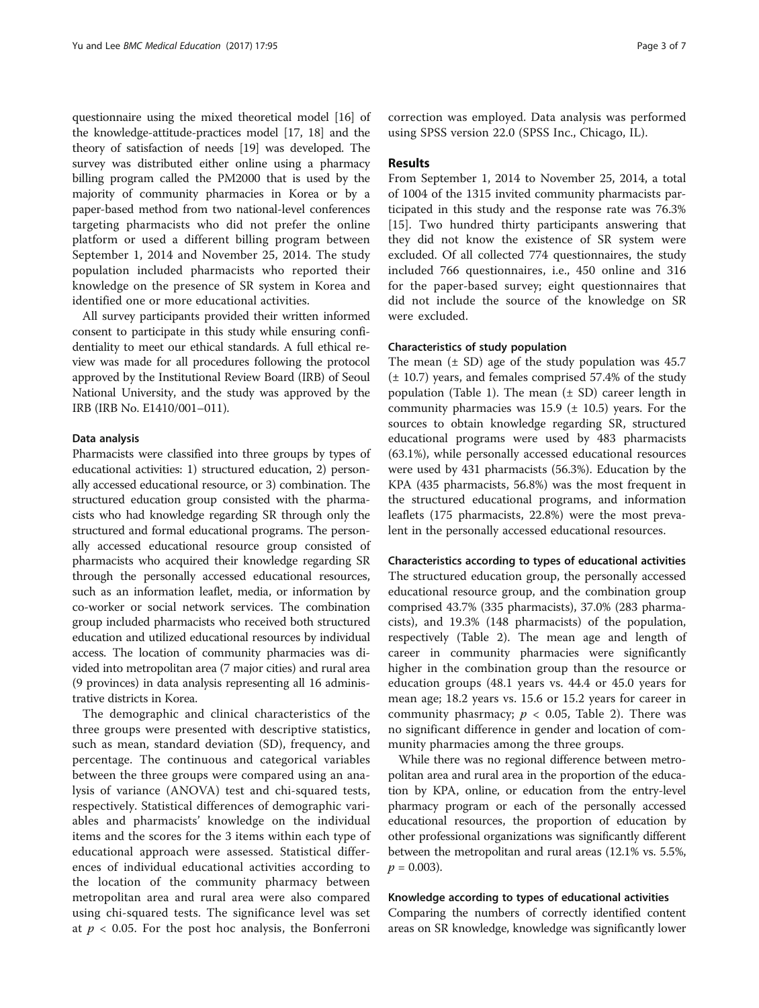questionnaire using the mixed theoretical model [[16](#page-6-0)] of the knowledge-attitude-practices model [[17](#page-6-0), [18](#page-6-0)] and the theory of satisfaction of needs [\[19\]](#page-6-0) was developed. The survey was distributed either online using a pharmacy billing program called the PM2000 that is used by the majority of community pharmacies in Korea or by a paper-based method from two national-level conferences targeting pharmacists who did not prefer the online platform or used a different billing program between September 1, 2014 and November 25, 2014. The study population included pharmacists who reported their knowledge on the presence of SR system in Korea and identified one or more educational activities.

All survey participants provided their written informed consent to participate in this study while ensuring confidentiality to meet our ethical standards. A full ethical review was made for all procedures following the protocol approved by the Institutional Review Board (IRB) of Seoul National University, and the study was approved by the IRB (IRB No. E1410/001–011).

## Data analysis

Pharmacists were classified into three groups by types of educational activities: 1) structured education, 2) personally accessed educational resource, or 3) combination. The structured education group consisted with the pharmacists who had knowledge regarding SR through only the structured and formal educational programs. The personally accessed educational resource group consisted of pharmacists who acquired their knowledge regarding SR through the personally accessed educational resources, such as an information leaflet, media, or information by co-worker or social network services. The combination group included pharmacists who received both structured education and utilized educational resources by individual access. The location of community pharmacies was divided into metropolitan area (7 major cities) and rural area (9 provinces) in data analysis representing all 16 administrative districts in Korea.

The demographic and clinical characteristics of the three groups were presented with descriptive statistics, such as mean, standard deviation (SD), frequency, and percentage. The continuous and categorical variables between the three groups were compared using an analysis of variance (ANOVA) test and chi-squared tests, respectively. Statistical differences of demographic variables and pharmacists' knowledge on the individual items and the scores for the 3 items within each type of educational approach were assessed. Statistical differences of individual educational activities according to the location of the community pharmacy between metropolitan area and rural area were also compared using chi-squared tests. The significance level was set at  $p < 0.05$ . For the post hoc analysis, the Bonferroni

correction was employed. Data analysis was performed using SPSS version 22.0 (SPSS Inc., Chicago, IL).

#### Results

From September 1, 2014 to November 25, 2014, a total of 1004 of the 1315 invited community pharmacists participated in this study and the response rate was 76.3% [[15\]](#page-6-0). Two hundred thirty participants answering that they did not know the existence of SR system were excluded. Of all collected 774 questionnaires, the study included 766 questionnaires, i.e., 450 online and 316 for the paper-based survey; eight questionnaires that did not include the source of the knowledge on SR were excluded.

## Characteristics of study population

The mean  $(\pm S_D)$  age of the study population was 45.7 (± 10.7) years, and females comprised 57.4% of the study population (Table [1](#page-3-0)). The mean  $(\pm SD)$  career length in community pharmacies was  $15.9$  ( $\pm$  10.5) years. For the sources to obtain knowledge regarding SR, structured educational programs were used by 483 pharmacists (63.1%), while personally accessed educational resources were used by 431 pharmacists (56.3%). Education by the KPA (435 pharmacists, 56.8%) was the most frequent in the structured educational programs, and information leaflets (175 pharmacists, 22.8%) were the most prevalent in the personally accessed educational resources.

#### Characteristics according to types of educational activities

The structured education group, the personally accessed educational resource group, and the combination group comprised 43.7% (335 pharmacists), 37.0% (283 pharmacists), and 19.3% (148 pharmacists) of the population, respectively (Table [2](#page-3-0)). The mean age and length of career in community pharmacies were significantly higher in the combination group than the resource or education groups (48.1 years vs. 44.4 or 45.0 years for mean age; 18.2 years vs. 15.6 or 15.2 years for career in community phasrmacy;  $p < 0.05$ , Table [2\)](#page-3-0). There was no significant difference in gender and location of community pharmacies among the three groups.

While there was no regional difference between metropolitan area and rural area in the proportion of the education by KPA, online, or education from the entry-level pharmacy program or each of the personally accessed educational resources, the proportion of education by other professional organizations was significantly different between the metropolitan and rural areas (12.1% vs. 5.5%,  $p = 0.003$ ).

#### Knowledge according to types of educational activities

Comparing the numbers of correctly identified content areas on SR knowledge, knowledge was significantly lower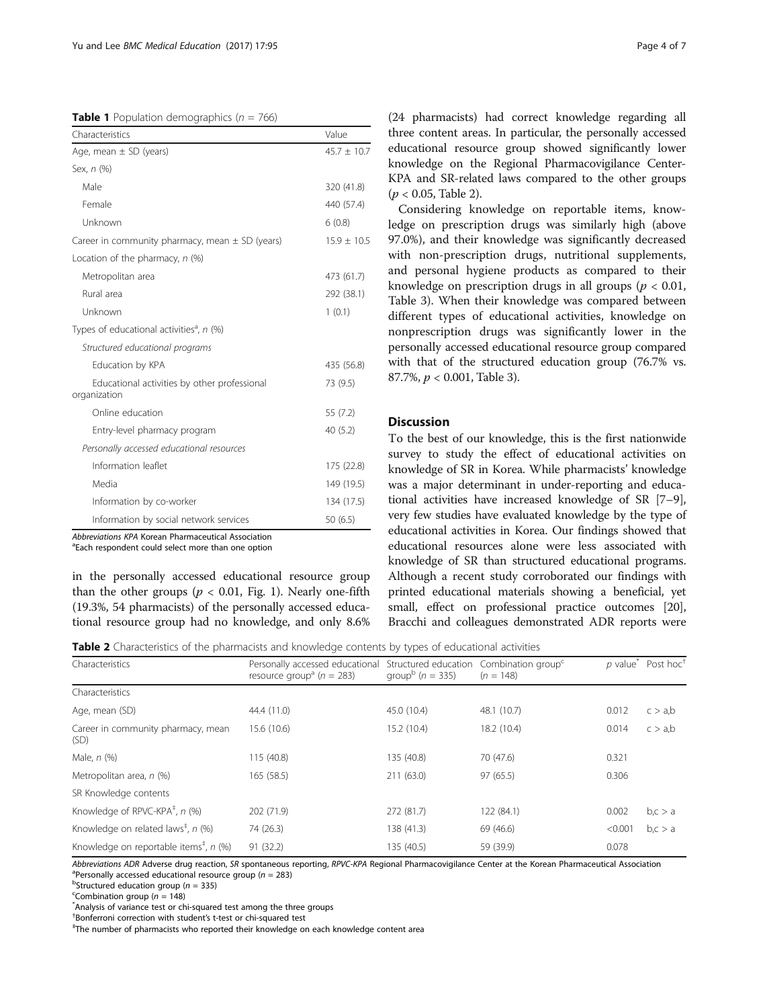<span id="page-3-0"></span>**Table 1** Population demographics ( $n = 766$ )

| Characteristics                                              | Value           |
|--------------------------------------------------------------|-----------------|
| Age, mean $\pm$ SD (years)                                   | $45.7 \pm 10.7$ |
| Sex, n (%)                                                   |                 |
| Male                                                         | 320 (41.8)      |
| Female                                                       | 440 (57.4)      |
| Unknown                                                      | 6(0.8)          |
| Career in community pharmacy, mean $\pm$ SD (years)          | $15.9 \pm 10.5$ |
| Location of the pharmacy, $n$ (%)                            |                 |
| Metropolitan area                                            | 473 (61.7)      |
| Rural area                                                   | 292 (38.1)      |
| Unknown                                                      | 1(0.1)          |
| Types of educational activities <sup>a</sup> , n (%)         |                 |
| Structured educational programs                              |                 |
| Education by KPA                                             | 435 (56.8)      |
| Educational activities by other professional<br>organization | 73 (9.5)        |
| Online education                                             | 55 (7.2)        |
| Entry-level pharmacy program                                 | 40(5.2)         |
| Personally accessed educational resources                    |                 |
| Information leaflet                                          | 175 (22.8)      |
| Media                                                        | 149 (19.5)      |
| Information by co-worker                                     | 134 (17.5)      |
| Information by social network services                       | 50 (6.5)        |

Abbreviations KPA Korean Pharmaceutical Association

<sup>a</sup>Each respondent could select more than one option

in the personally accessed educational resource group than the other groups ( $p < 0.01$ , Fig. [1\)](#page-4-0). Nearly one-fifth (19.3%, 54 pharmacists) of the personally accessed educational resource group had no knowledge, and only 8.6% (24 pharmacists) had correct knowledge regarding all three content areas. In particular, the personally accessed educational resource group showed significantly lower knowledge on the Regional Pharmacovigilance Center-KPA and SR-related laws compared to the other groups  $(p < 0.05,$  Table 2).

Considering knowledge on reportable items, knowledge on prescription drugs was similarly high (above 97.0%), and their knowledge was significantly decreased with non-prescription drugs, nutritional supplements, and personal hygiene products as compared to their knowledge on prescription drugs in all groups ( $p < 0.01$ , Table [3](#page-4-0)). When their knowledge was compared between different types of educational activities, knowledge on nonprescription drugs was significantly lower in the personally accessed educational resource group compared with that of the structured education group (76.7% vs. 87.7%,  $p < 0.001$ , Table [3\)](#page-4-0).

## Discussion

To the best of our knowledge, this is the first nationwide survey to study the effect of educational activities on knowledge of SR in Korea. While pharmacists' knowledge was a major determinant in under-reporting and educational activities have increased knowledge of SR [[7](#page-6-0)–[9](#page-6-0)], very few studies have evaluated knowledge by the type of educational activities in Korea. Our findings showed that educational resources alone were less associated with knowledge of SR than structured educational programs. Although a recent study corroborated our findings with printed educational materials showing a beneficial, yet small, effect on professional practice outcomes [[20](#page-6-0)], Bracchi and colleagues demonstrated ADR reports were

Table 2 Characteristics of the pharmacists and knowledge contents by types of educational activities

|                                                                   |                                                                              | $\overline{\phantom{a}}$                                                                |             |         |                                              |
|-------------------------------------------------------------------|------------------------------------------------------------------------------|-----------------------------------------------------------------------------------------|-------------|---------|----------------------------------------------|
| Characteristics                                                   | Personally accessed educational<br>resource group <sup>a</sup> ( $n = 283$ ) | Structured education Combination group <sup>c</sup><br>group <sup>b</sup> ( $n = 335$ ) | $(n = 148)$ |         | $p$ value <sup>*</sup> Post hoc <sup>+</sup> |
| Characteristics                                                   |                                                                              |                                                                                         |             |         |                                              |
| Age, mean (SD)                                                    | 44.4 (11.0)                                                                  | 45.0 (10.4)                                                                             | 48.1 (10.7) | 0.012   | c > a,b                                      |
| Career in community pharmacy, mean<br>(SD)                        | 15.6 (10.6)                                                                  | 15.2 (10.4)                                                                             | 18.2 (10.4) | 0.014   | c > a,b                                      |
| Male, $n$ $(\%)$                                                  | 115 (40.8)                                                                   | 135 (40.8)                                                                              | 70 (47.6)   | 0.321   |                                              |
| Metropolitan area, n (%)                                          | 165(58.5)                                                                    | 211 (63.0)                                                                              | 97(65.5)    | 0.306   |                                              |
| SR Knowledge contents                                             |                                                                              |                                                                                         |             |         |                                              |
| Knowledge of RPVC-KPA <sup>‡</sup> , n (%)                        | 202 (71.9)                                                                   | 272 (81.7)                                                                              | 122 (84.1)  | 0.002   | b, c > a                                     |
| Knowledge on related laws <sup><math>\pm</math></sup> , n (%)     | 74 (26.3)                                                                    | 138 (41.3)                                                                              | 69 (46.6)   | < 0.001 | b, c > a                                     |
| Knowledge on reportable items <sup><math>#</math></sup> , n $%$ ) | 91 (32.2)                                                                    | 135 (40.5)                                                                              | 59 (39.9)   | 0.078   |                                              |

Abbreviations ADR Adverse drug reaction, SR spontaneous reporting, RPVC-KPA Regional Pharmacovigilance Center at the Korean Pharmaceutical Association <sup>a</sup>Personally accessed educational resource group ( $n = 283$ )

<sup>b</sup>Structured education group ( $n = 335$ )

<sup>c</sup>Combination group ( $n = 148$ )

Analysis of variance test or chi-squared test among the three groups

 $\text{t}^{\text{th}}$ Bonferroni correction with student's t-test or chi-squared test  $\text{t}^{\text{th}}$ 

The number of pharmacists who reported their knowledge on each knowledge content area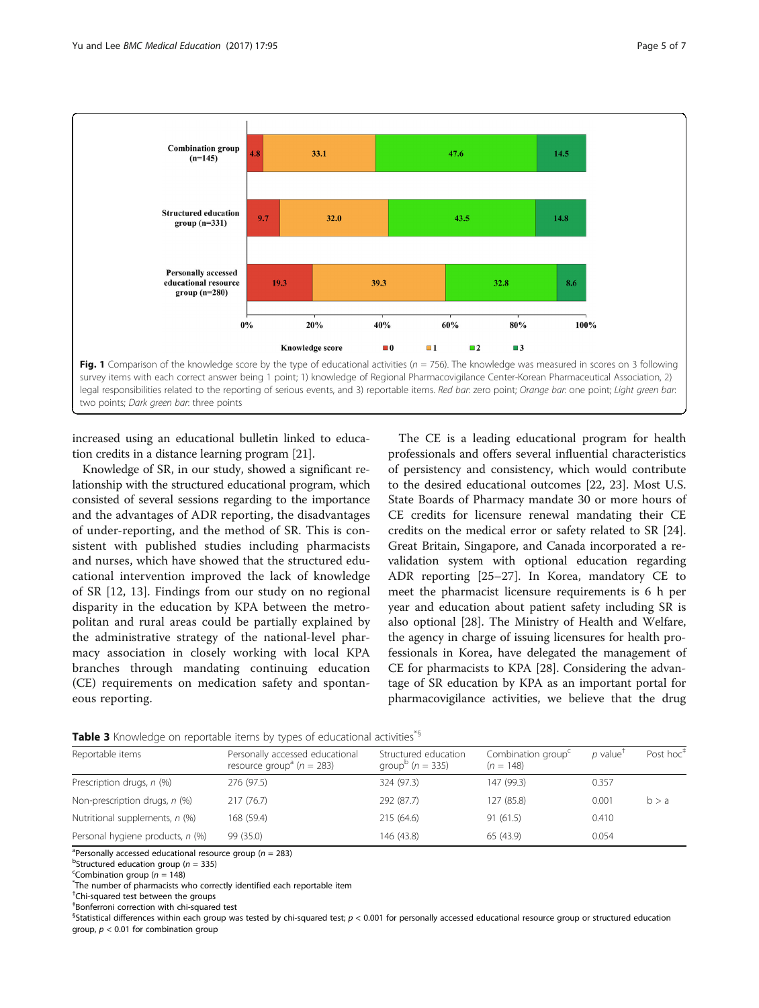<span id="page-4-0"></span>

increased using an educational bulletin linked to education credits in a distance learning program [\[21\]](#page-6-0).

two points; Dark green bar: three points

Knowledge of SR, in our study, showed a significant relationship with the structured educational program, which consisted of several sessions regarding to the importance and the advantages of ADR reporting, the disadvantages of under-reporting, and the method of SR. This is consistent with published studies including pharmacists and nurses, which have showed that the structured educational intervention improved the lack of knowledge of SR [[12, 13](#page-6-0)]. Findings from our study on no regional disparity in the education by KPA between the metropolitan and rural areas could be partially explained by the administrative strategy of the national-level pharmacy association in closely working with local KPA branches through mandating continuing education (CE) requirements on medication safety and spontaneous reporting.

The CE is a leading educational program for health professionals and offers several influential characteristics of persistency and consistency, which would contribute to the desired educational outcomes [[22, 23](#page-6-0)]. Most U.S. State Boards of Pharmacy mandate 30 or more hours of CE credits for licensure renewal mandating their CE credits on the medical error or safety related to SR [\[24](#page-6-0)]. Great Britain, Singapore, and Canada incorporated a revalidation system with optional education regarding ADR reporting [\[25](#page-6-0)–[27\]](#page-6-0). In Korea, mandatory CE to meet the pharmacist licensure requirements is 6 h per year and education about patient safety including SR is also optional [[28\]](#page-6-0). The Ministry of Health and Welfare, the agency in charge of issuing licensures for health professionals in Korea, have delegated the management of CE for pharmacists to KPA [[28\]](#page-6-0). Considering the advantage of SR education by KPA as an important portal for pharmacovigilance activities, we believe that the drug

| Table 3 Knowledge on reportable items by types of educational activities* <sup>5</sup> |  |  |  |  |
|----------------------------------------------------------------------------------------|--|--|--|--|
|----------------------------------------------------------------------------------------|--|--|--|--|

| Reportable items                 | Personally accessed educational<br>resource group <sup>a</sup> ( $n = 283$ ) | Structured education<br>group <sup>b</sup> ( $n = 335$ ) | Combination group <sup>c</sup><br>$(n = 148)$ | $p$ value <sup>†</sup> | Post hoc <sup>+</sup> |
|----------------------------------|------------------------------------------------------------------------------|----------------------------------------------------------|-----------------------------------------------|------------------------|-----------------------|
| Prescription drugs, n (%)        | 276 (97.5)                                                                   | 324 (97.3)                                               | 147 (99.3)                                    | 0.357                  |                       |
| Non-prescription drugs, n (%)    | 217(76.7)                                                                    | 292 (87.7)                                               | 127 (85.8)                                    | 0.001                  | b > a                 |
| Nutritional supplements, n (%)   | 168 (59.4)                                                                   | 215 (64.6)                                               | 91(61.5)                                      | 0.410                  |                       |
| Personal hygiene products, n (%) | 99 (35.0)                                                                    | 146 (43.8)                                               | 65 (43.9)                                     | 0.054                  |                       |

<sup>a</sup> Personally accessed educational resource group ( $n = 283$ )<br>**bStructured education group** ( $n = 335$ )

<sup>b</sup>Structured education group ( $n = 335$ )

<sup>c</sup>Combination group ( $n = 148$ )

The number of pharmacists who correctly identified each reportable item

† Chi-squared test between the groups

‡ Bonferroni correction with chi-squared test

<sup>§</sup>Statistical differences within each group was tested by chi-squared test; p < 0.001 for personally accessed educational resource group or structured education group,  $p < 0.01$  for combination group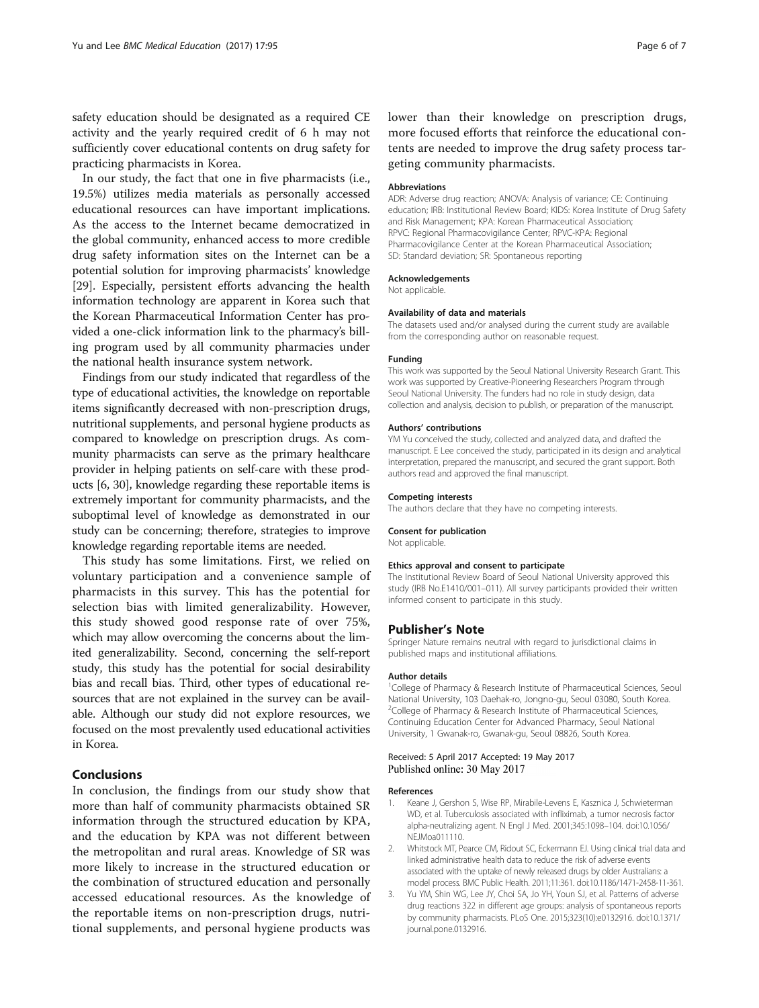<span id="page-5-0"></span>safety education should be designated as a required CE activity and the yearly required credit of 6 h may not sufficiently cover educational contents on drug safety for practicing pharmacists in Korea.

In our study, the fact that one in five pharmacists (i.e., 19.5%) utilizes media materials as personally accessed educational resources can have important implications. As the access to the Internet became democratized in the global community, enhanced access to more credible drug safety information sites on the Internet can be a potential solution for improving pharmacists' knowledge [[29\]](#page-6-0). Especially, persistent efforts advancing the health information technology are apparent in Korea such that the Korean Pharmaceutical Information Center has provided a one-click information link to the pharmacy's billing program used by all community pharmacies under the national health insurance system network.

Findings from our study indicated that regardless of the type of educational activities, the knowledge on reportable items significantly decreased with non-prescription drugs, nutritional supplements, and personal hygiene products as compared to knowledge on prescription drugs. As community pharmacists can serve as the primary healthcare provider in helping patients on self-care with these products [\[6, 30](#page-6-0)], knowledge regarding these reportable items is extremely important for community pharmacists, and the suboptimal level of knowledge as demonstrated in our study can be concerning; therefore, strategies to improve knowledge regarding reportable items are needed.

This study has some limitations. First, we relied on voluntary participation and a convenience sample of pharmacists in this survey. This has the potential for selection bias with limited generalizability. However, this study showed good response rate of over 75%, which may allow overcoming the concerns about the limited generalizability. Second, concerning the self-report study, this study has the potential for social desirability bias and recall bias. Third, other types of educational resources that are not explained in the survey can be available. Although our study did not explore resources, we focused on the most prevalently used educational activities in Korea.

## Conclusions

In conclusion, the findings from our study show that more than half of community pharmacists obtained SR information through the structured education by KPA, and the education by KPA was not different between the metropolitan and rural areas. Knowledge of SR was more likely to increase in the structured education or the combination of structured education and personally accessed educational resources. As the knowledge of the reportable items on non-prescription drugs, nutritional supplements, and personal hygiene products was lower than their knowledge on prescription drugs, more focused efforts that reinforce the educational contents are needed to improve the drug safety process targeting community pharmacists.

#### Abbreviations

ADR: Adverse drug reaction; ANOVA: Analysis of variance; CE: Continuing education; IRB: Institutional Review Board; KIDS: Korea Institute of Drug Safety and Risk Management; KPA: Korean Pharmaceutical Association; RPVC: Regional Pharmacovigilance Center; RPVC-KPA: Regional Pharmacovigilance Center at the Korean Pharmaceutical Association; SD: Standard deviation; SR: Spontaneous reporting

#### Acknowledgements

Not applicable.

### Availability of data and materials

The datasets used and/or analysed during the current study are available from the corresponding author on reasonable request.

#### Funding

This work was supported by the Seoul National University Research Grant. This work was supported by Creative-Pioneering Researchers Program through Seoul National University. The funders had no role in study design, data collection and analysis, decision to publish, or preparation of the manuscript.

#### Authors' contributions

YM Yu conceived the study, collected and analyzed data, and drafted the manuscript. E Lee conceived the study, participated in its design and analytical interpretation, prepared the manuscript, and secured the grant support. Both authors read and approved the final manuscript.

#### Competing interests

The authors declare that they have no competing interests.

#### Consent for publication

Not applicable.

#### Ethics approval and consent to participate

The Institutional Review Board of Seoul National University approved this study (IRB No.E1410/001–011). All survey participants provided their written informed consent to participate in this study.

#### Publisher's Note

Springer Nature remains neutral with regard to jurisdictional claims in published maps and institutional affiliations.

#### Author details

<sup>1</sup>College of Pharmacy & Research Institute of Pharmaceutical Sciences, Seoul National University, 103 Daehak-ro, Jongno-gu, Seoul 03080, South Korea. <sup>2</sup>College of Pharmacy & Research Institute of Pharmaceutical Sciences, Continuing Education Center for Advanced Pharmacy, Seoul National University, 1 Gwanak-ro, Gwanak-gu, Seoul 08826, South Korea.

#### Received: 5 April 2017 Accepted: 19 May 2017 Published online: 30 May 2017

#### References

- Keane J, Gershon S, Wise RP, Mirabile-Levens E, Kasznica J, Schwieterman WD, et al. Tuberculosis associated with infliximab, a tumor necrosis factor alpha-neutralizing agent. N Engl J Med. 2001;345:1098–104. doi:[10.1056/](http://dx.doi.org/10.1056/NEJMoa011110) [NEJMoa011110.](http://dx.doi.org/10.1056/NEJMoa011110)
- 2. Whitstock MT, Pearce CM, Ridout SC, Eckermann EJ. Using clinical trial data and linked administrative health data to reduce the risk of adverse events associated with the uptake of newly released drugs by older Australians: a model process. BMC Public Health. 2011;11:361. doi:[10.1186/1471-2458-11-361](http://dx.doi.org/10.1186/1471-2458-11-361).
- 3. Yu YM, Shin WG, Lee JY, Choi SA, Jo YH, Youn SJ, et al. Patterns of adverse drug reactions 322 in different age groups: analysis of spontaneous reports by community pharmacists. PLoS One. 2015;323(10):e0132916. doi:[10.1371/](http://dx.doi.org/10.1371/journal.pone.0132916) [journal.pone.0132916](http://dx.doi.org/10.1371/journal.pone.0132916).